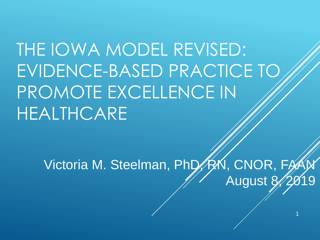THE IOWA MODEL REVISED: EVIDENCE-BASED PRACTICE TO PROMOTE EXCELLENCE IN HEALTHCARE

Victoria M. Steelman, PhD, RXN, CNOR, FAAI August 8/2

1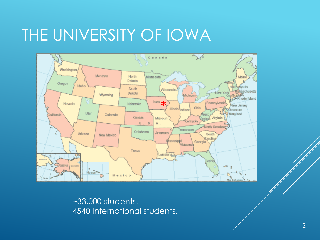# THE UNIVERSITY OF IOWA



~33,000 students. 4540 International students.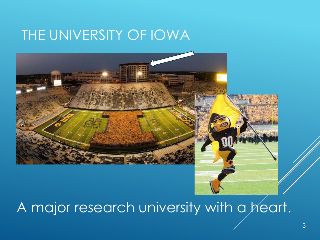# THE UNIVERSITY OF IOWA



# A major research university with a heart.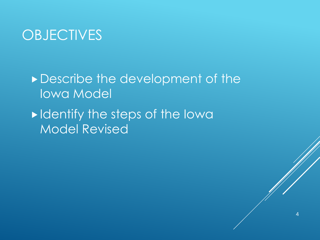### **OBJECTIVES**

Describe the development of the Iowa Model

 $\blacktriangleright$  Identify the steps of the Iowa Model Revised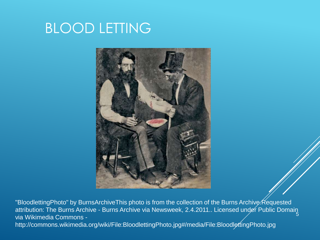# BLOOD LETTING



5 "BloodlettingPhoto" by BurnsArchiveThis photo is from the collection of the Burns Archive. Requested attribution: The Burns Archive - Burns Archive via Newsweek, 2.4.2011.. Licensed under Public Domain via Wikimedia Commons http://commons.wikimedia.org/wiki/File:BloodlettingPhoto.jpg#/media/File:BloodlettingPhoto.jpg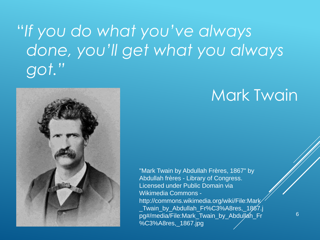# "*If you do what you've always done, you'll get what you always got."*



# Mark Twain

"Mark Twain by Abdullah Frères, 1867" by Abdullah frères - Library of Congress. Licensed under Public Domain via Wikimedia Commons http://commons.wikimedia.org/wiki/File:Mark \_Twain\_by\_Abdullah\_Fr%C3%A8res,\_1867.j pg#/media/File:Mark\_Twain\_by\_Abdullah\_Fr %C3%A8res,\_1867.jpg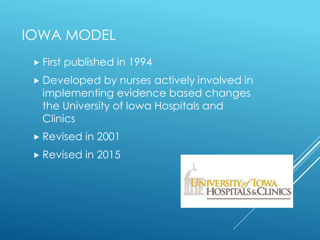### IOWA MODEL

- **First published in 1994**
- **Developed by nurses actively involved in** implementing evidence based changes the University of Iowa Hospitals and **Clinics**
- Revised in 2001
- Revised in 2015

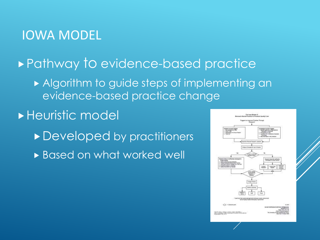#### IOWA MODEL

#### ▶ Pathway to evidence-based practice

Algorithm to guide steps of implementing an evidence-based practice change

#### **Heuristic model**

- Developed by practitioners
- **Based on what worked well**

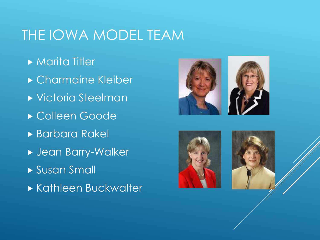# THE IOWA MODEL TEAM

- **Marita Titler**
- Charmaine Kleiber
- Victoria Steelman
- Colleen Goode
- Barbara Rakel
- Jean Barry-Walker
- Susan Small
- **Kathleen Buckwalter**





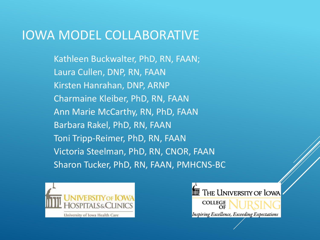#### IOWA MODEL COLLABORATIVE

Kathleen Buckwalter, PhD, RN, FAAN; Laura Cullen, DNP, RN, FAAN Kirsten Hanrahan, DNP, ARNP Charmaine Kleiber, PhD, RN, FAAN Ann Marie McCarthy, RN, PhD, FAAN Barbara Rakel, PhD, RN, FAAN Toni Tripp-Reimer, PhD, RN, FAAN Victoria Steelman, PhD, RN, CNOR, FAAN Sharon Tucker, PhD, RN, FAAN, PMHCNS-BC



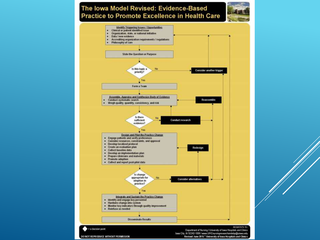#### The Iowa Model Revised: Evidence-Based **Practice to Promote Excellence in Health Care**



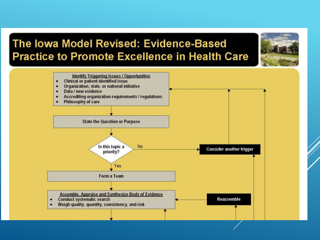#### The Iowa Model Revised: Evidence-Based **Practice to Promote Excellence in Health Care**

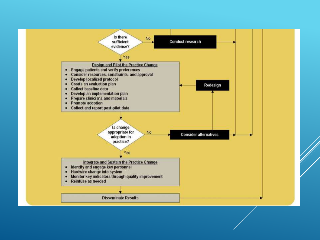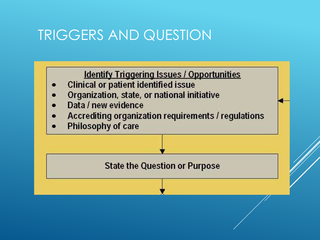# TRIGGERS AND QUESTION

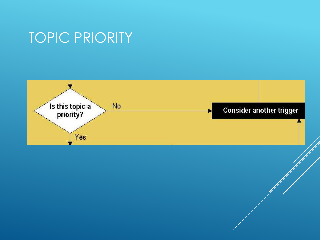# TOPIC PRIORITY

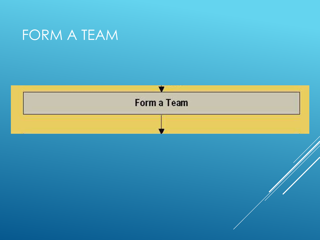# FORM A TEAM

![](_page_15_Figure_1.jpeg)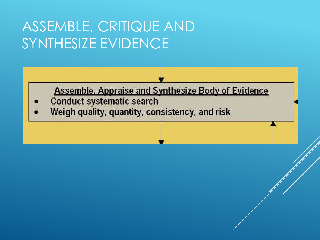# ASSEMBLE, CRITIQUE AND SYNTHESIZE EVIDENCE

**Assemble, Appraise and Synthesize Body of Evidence** 

- **Conduct systematic search**
- Weigh quality, quantity, consistency, and risk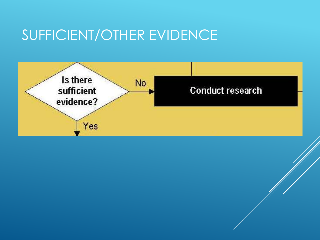# SUFFICIENT/OTHER EVIDENCE

![](_page_17_Figure_1.jpeg)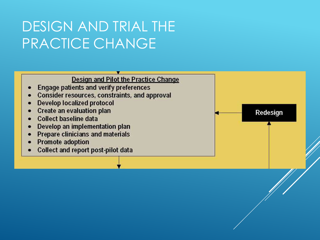# DESIGN AND TRIAL THE PRACTICE CHANGE

![](_page_18_Figure_1.jpeg)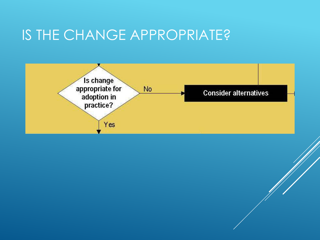### IS THE CHANGE APPROPRIATE?

![](_page_19_Figure_1.jpeg)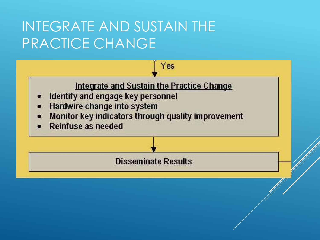# INTEGRATE AND SUSTAIN THE PRACTICE CHANGE

![](_page_20_Figure_1.jpeg)

Yes

- Identify and engage key personnel
- Hardwire change into system
- Monitor key indicators through quality improvement
- **Reinfuse as needed**

**Disseminate Results**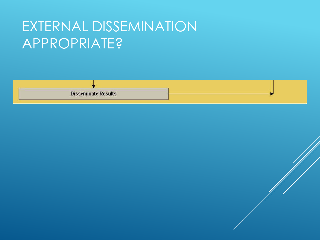# EXTERNAL DISSEMINATION APPROPRIATE?

![](_page_21_Figure_1.jpeg)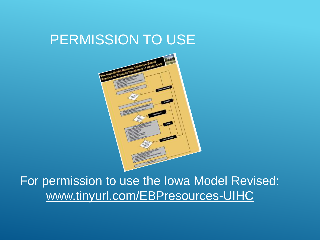### PERMISSION TO USE

![](_page_22_Picture_1.jpeg)

For permission to use the Iowa Model Revised: www.tinyurl.com/EBPresources-UIHC